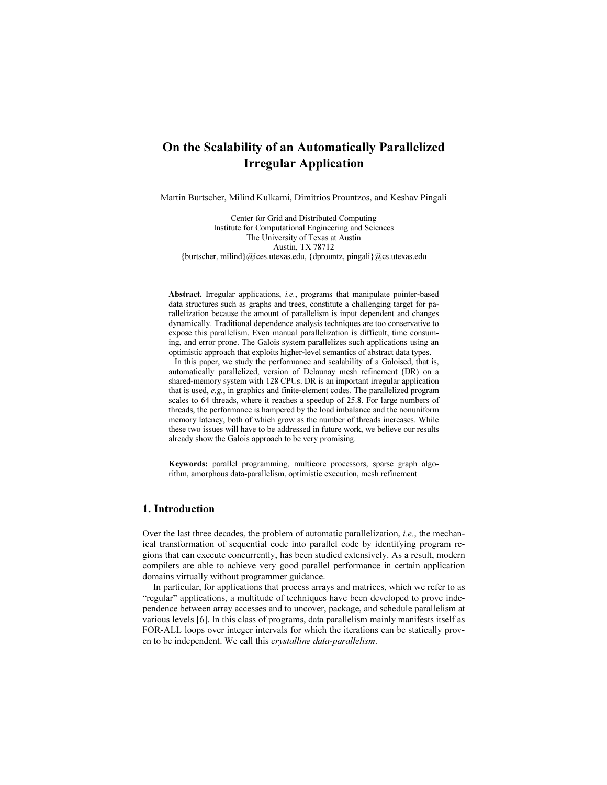# On the Scalability of an Automatically Parallelized Irregular Application

Martin Burtscher, Milind Kulkarni, Dimitrios Prountzos, and Keshav Pingali

Center for Grid and Distributed Computing Institute for Computational Engineering and Sciences The University of Texas at Austin Austin, TX 78712  ${\text{burtscher, milind}}@ices.utexas.edu, {\text{dprountz, pingali}}@cs.utexas.edu$ 

Abstract. Irregular applications, i.e., programs that manipulate pointer-based data structures such as graphs and trees, constitute a challenging target for parallelization because the amount of parallelism is input dependent and changes dynamically. Traditional dependence analysis techniques are too conservative to expose this parallelism. Even manual parallelization is difficult, time consuming, and error prone. The Galois system parallelizes such applications using an optimistic approach that exploits higher-level semantics of abstract data types.

 In this paper, we study the performance and scalability of a Galoised, that is, automatically parallelized, version of Delaunay mesh refinement (DR) on a shared-memory system with 128 CPUs. DR is an important irregular application that is used, e.g., in graphics and finite-element codes. The parallelized program scales to 64 threads, where it reaches a speedup of 25.8. For large numbers of threads, the performance is hampered by the load imbalance and the nonuniform memory latency, both of which grow as the number of threads increases. While these two issues will have to be addressed in future work, we believe our results already show the Galois approach to be very promising.

Keywords: parallel programming, multicore processors, sparse graph algorithm, amorphous data-parallelism, optimistic execution, mesh refinement

# 1. Introduction

Over the last three decades, the problem of automatic parallelization, *i.e.*, the mechanical transformation of sequential code into parallel code by identifying program regions that can execute concurrently, has been studied extensively. As a result, modern compilers are able to achieve very good parallel performance in certain application domains virtually without programmer guidance.

In particular, for applications that process arrays and matrices, which we refer to as "regular" applications, a multitude of techniques have been developed to prove independence between array accesses and to uncover, package, and schedule parallelism at various levels [6]. In this class of programs, data parallelism mainly manifests itself as FOR-ALL loops over integer intervals for which the iterations can be statically proven to be independent. We call this crystalline data-parallelism.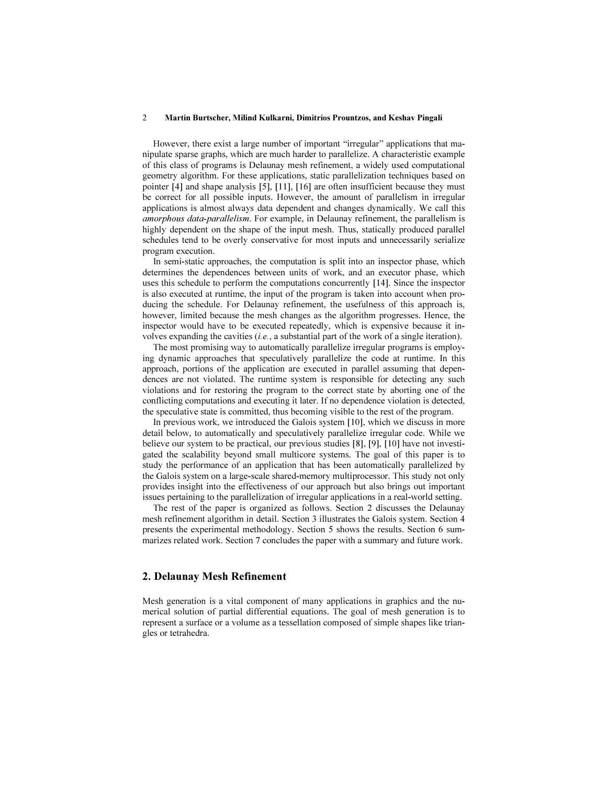However, there exist a large number of important "irregular" applications that manipulate sparse graphs, which are much harder to parallelize. A characteristic example of this class of programs is Delaunay mesh refinement, a widely used computational geometry algorithm. For these applications, static parallelization techniques based on pointer [4] and shape analysis [5], [11], [16] are often insufficient because they must be correct for all possible inputs. However, the amount of parallelism in irregular applications is almost always data dependent and changes dynamically. We call this amorphous data-parallelism. For example, in Delaunay refinement, the parallelism is highly dependent on the shape of the input mesh. Thus, statically produced parallel schedules tend to be overly conservative for most inputs and unnecessarily serialize program execution.

In semi-static approaches, the computation is split into an inspector phase, which determines the dependences between units of work, and an executor phase, which uses this schedule to perform the computations concurrently [14]. Since the inspector is also executed at runtime, the input of the program is taken into account when producing the schedule. For Delaunay refinement, the usefulness of this approach is, however, limited because the mesh changes as the algorithm progresses. Hence, the inspector would have to be executed repeatedly, which is expensive because it involves expanding the cavities  $(i.e., a$  substantial part of the work of a single iteration).

The most promising way to automatically parallelize irregular programs is employing dynamic approaches that speculatively parallelize the code at runtime. In this approach, portions of the application are executed in parallel assuming that dependences are not violated. The runtime system is responsible for detecting any such violations and for restoring the program to the correct state by aborting one of the conflicting computations and executing it later. If no dependence violation is detected, the speculative state is committed, thus becoming visible to the rest of the program.

In previous work, we introduced the Galois system [10], which we discuss in more detail below, to automatically and speculatively parallelize irregular code. While we believe our system to be practical, our previous studies [8], [9], [10] have not investigated the scalability beyond small multicore systems. The goal of this paper is to study the performance of an application that has been automatically parallelized by the Galois system on a large-scale shared-memory multiprocessor. This study not only provides insight into the effectiveness of our approach but also brings out important issues pertaining to the parallelization of irregular applications in a real-world setting.

The rest of the paper is organized as follows. Section 2 discusses the Delaunay mesh refinement algorithm in detail. Section 3 illustrates the Galois system. Section 4 presents the experimental methodology. Section 5 shows the results. Section 6 summarizes related work. Section 7 concludes the paper with a summary and future work.

### 2. Delaunay Mesh Refinement

Mesh generation is a vital component of many applications in graphics and the numerical solution of partial differential equations. The goal of mesh generation is to represent a surface or a volume as a tessellation composed of simple shapes like triangles or tetrahedra.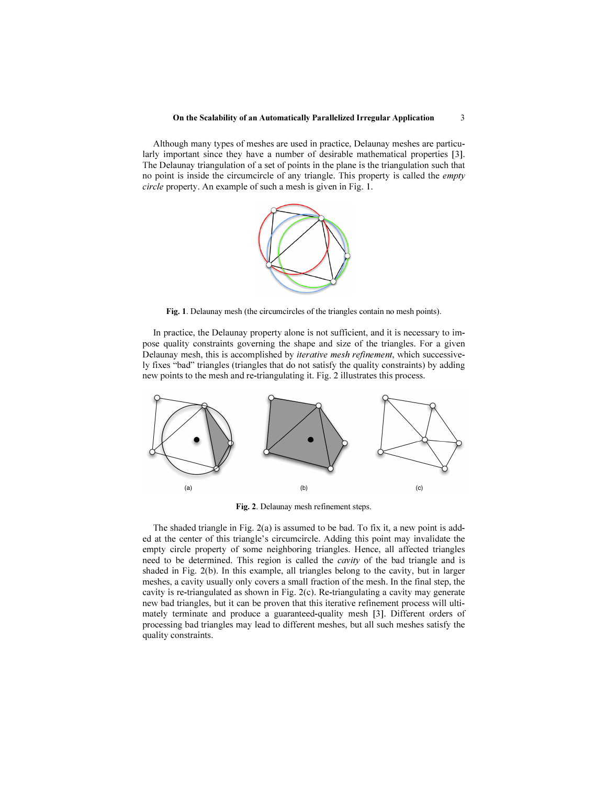#### On the Scalability of an Automatically Parallelized Irregular Application 3

Although many types of meshes are used in practice, Delaunay meshes are particularly important since they have a number of desirable mathematical properties [3]. The Delaunay triangulation of a set of points in the plane is the triangulation such that no point is inside the circumcircle of any triangle. This property is called the empty circle property. An example of such a mesh is given in Fig. 1.



Fig. 1. Delaunay mesh (the circumcircles of the triangles contain no mesh points).

In practice, the Delaunay property alone is not sufficient, and it is necessary to impose quality constraints governing the shape and size of the triangles. For a given Delaunay mesh, this is accomplished by iterative mesh refinement, which successively fixes "bad" triangles (triangles that do not satisfy the quality constraints) by adding new points to the mesh and re-triangulating it. Fig. 2 illustrates this process.



Fig. 2. Delaunay mesh refinement steps.

The shaded triangle in Fig. 2(a) is assumed to be bad. To fix it, a new point is added at the center of this triangle's circumcircle. Adding this point may invalidate the empty circle property of some neighboring triangles. Hence, all affected triangles need to be determined. This region is called the *cavity* of the bad triangle and is shaded in Fig. 2(b). In this example, all triangles belong to the cavity, but in larger meshes, a cavity usually only covers a small fraction of the mesh. In the final step, the cavity is re-triangulated as shown in Fig. 2(c). Re-triangulating a cavity may generate new bad triangles, but it can be proven that this iterative refinement process will ultimately terminate and produce a guaranteed-quality mesh [3]. Different orders of processing bad triangles may lead to different meshes, but all such meshes satisfy the quality constraints.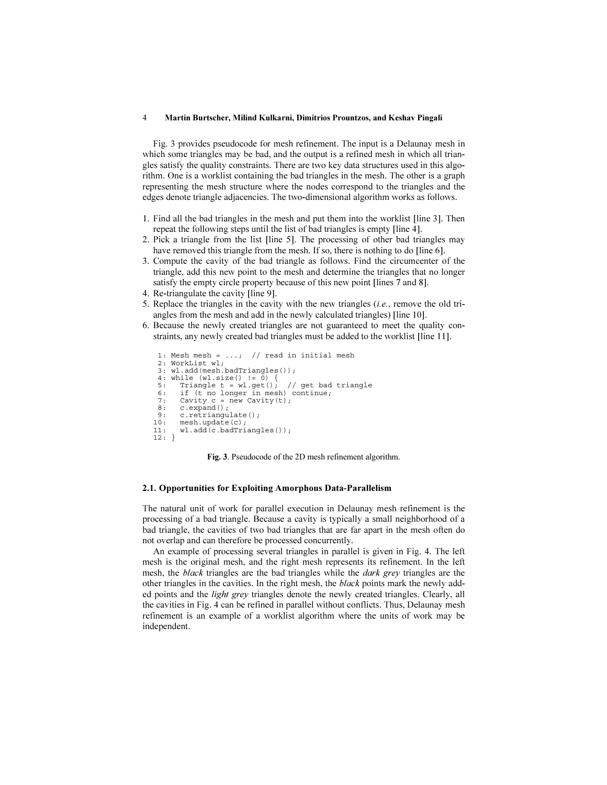Fig. 3 provides pseudocode for mesh refinement. The input is a Delaunay mesh in which some triangles may be bad, and the output is a refined mesh in which all triangles satisfy the quality constraints. There are two key data structures used in this algorithm. One is a worklist containing the bad triangles in the mesh. The other is a graph representing the mesh structure where the nodes correspond to the triangles and the edges denote triangle adjacencies. The two-dimensional algorithm works as follows.

- 1. Find all the bad triangles in the mesh and put them into the worklist [line 3]. Then repeat the following steps until the list of bad triangles is empty [line 4].
- 2. Pick a triangle from the list [line 5]. The processing of other bad triangles may have removed this triangle from the mesh. If so, there is nothing to do [line 6].
- 3. Compute the cavity of the bad triangle as follows. Find the circumcenter of the triangle, add this new point to the mesh and determine the triangles that no longer satisfy the empty circle property because of this new point [lines 7 and 8].
- 4. Re-triangulate the cavity [line 9].
- 5. Replace the triangles in the cavity with the new triangles (i.e., remove the old triangles from the mesh and add in the newly calculated triangles) [line 10].
- 6. Because the newly created triangles are not guaranteed to meet the quality constraints, any newly created bad triangles must be added to the worklist [line 11].

```
1: Mesh mesh = \ldots; // read in initial mesh
  2: WorkList wl; 
  3: wl.add(mesh.badTriangles()); 
4: while (wl.size() != \overline{0}) {<br>5: Triangle t = wl.get(); // get bad triangle
 6: if (t no longer in mesh) continue; 
 7: Cavity c = new Cavity(t); 
 8: c.expand();<br>9: c.retrianqu
9: c.retriangulate();<br>10: mesh.update(c);
        mesh.update(c)
11: wl.add(c.badTriangles()); 
\overline{12}: \}
```
Fig. 3. Pseudocode of the 2D mesh refinement algorithm.

#### 2.1. Opportunities for Exploiting Amorphous Data-Parallelism

The natural unit of work for parallel execution in Delaunay mesh refinement is the processing of a bad triangle. Because a cavity is typically a small neighborhood of a bad triangle, the cavities of two bad triangles that are far apart in the mesh often do not overlap and can therefore be processed concurrently.

An example of processing several triangles in parallel is given in Fig. 4. The left mesh is the original mesh, and the right mesh represents its refinement. In the left mesh, the *black* triangles are the bad triangles while the *dark grey* triangles are the other triangles in the cavities. In the right mesh, the *black* points mark the newly added points and the *light grey* triangles denote the newly created triangles. Clearly, all the cavities in Fig. 4 can be refined in parallel without conflicts. Thus, Delaunay mesh refinement is an example of a worklist algorithm where the units of work may be independent.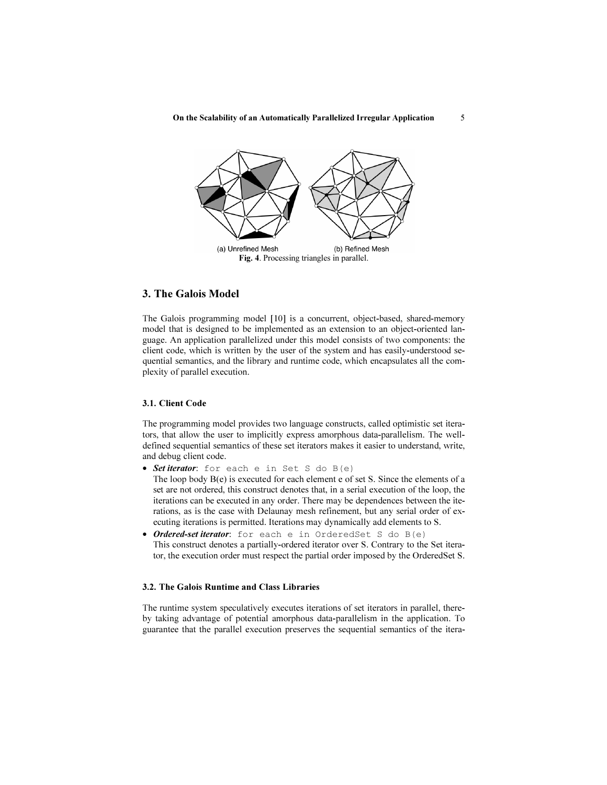

# 3. The Galois Model

The Galois programming model [10] is a concurrent, object-based, shared-memory model that is designed to be implemented as an extension to an object-oriented language. An application parallelized under this model consists of two components: the client code, which is written by the user of the system and has easily-understood sequential semantics, and the library and runtime code, which encapsulates all the complexity of parallel execution.

# 3.1. Client Code

The programming model provides two language constructs, called optimistic set iterators, that allow the user to implicitly express amorphous data-parallelism. The welldefined sequential semantics of these set iterators makes it easier to understand, write, and debug client code.

• Setiterator: for each e in Set S do B(e)

The loop body B(e) is executed for each element e of set S. Since the elements of a set are not ordered, this construct denotes that, in a serial execution of the loop, the iterations can be executed in any order. There may be dependences between the iterations, as is the case with Delaunay mesh refinement, but any serial order of executing iterations is permitted. Iterations may dynamically add elements to S.

• Ordered-set iterator: for each e in OrderedSet S do B(e) This construct denotes a partially-ordered iterator over S. Contrary to the Set iterator, the execution order must respect the partial order imposed by the OrderedSet S.

### 3.2. The Galois Runtime and Class Libraries

The runtime system speculatively executes iterations of set iterators in parallel, thereby taking advantage of potential amorphous data-parallelism in the application. To guarantee that the parallel execution preserves the sequential semantics of the itera-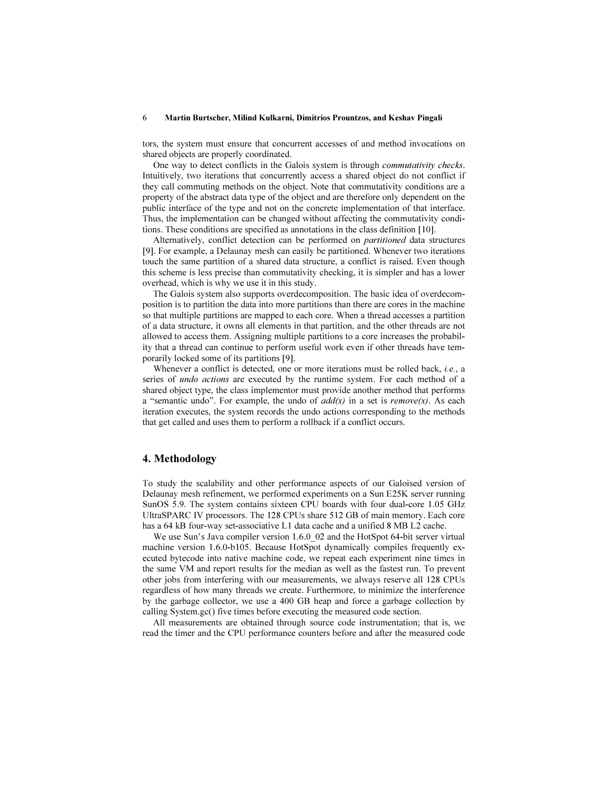tors, the system must ensure that concurrent accesses of and method invocations on shared objects are properly coordinated.

One way to detect conflicts in the Galois system is through commutativity checks. Intuitively, two iterations that concurrently access a shared object do not conflict if they call commuting methods on the object. Note that commutativity conditions are a property of the abstract data type of the object and are therefore only dependent on the public interface of the type and not on the concrete implementation of that interface. Thus, the implementation can be changed without affecting the commutativity conditions. These conditions are specified as annotations in the class definition [10].

Alternatively, conflict detection can be performed on partitioned data structures [9]. For example, a Delaunay mesh can easily be partitioned. Whenever two iterations touch the same partition of a shared data structure, a conflict is raised. Even though this scheme is less precise than commutativity checking, it is simpler and has a lower overhead, which is why we use it in this study.

The Galois system also supports overdecomposition. The basic idea of overdecomposition is to partition the data into more partitions than there are cores in the machine so that multiple partitions are mapped to each core. When a thread accesses a partition of a data structure, it owns all elements in that partition, and the other threads are not allowed to access them. Assigning multiple partitions to a core increases the probability that a thread can continue to perform useful work even if other threads have temporarily locked some of its partitions [9].

Whenever a conflict is detected, one or more iterations must be rolled back, *i.e.*, a series of *undo actions* are executed by the runtime system. For each method of a shared object type, the class implementor must provide another method that performs a "semantic undo". For example, the undo of  $add(x)$  in a set is remove(x). As each iteration executes, the system records the undo actions corresponding to the methods that get called and uses them to perform a rollback if a conflict occurs.

# 4. Methodology

To study the scalability and other performance aspects of our Galoised version of Delaunay mesh refinement, we performed experiments on a Sun E25K server running SunOS 5.9. The system contains sixteen CPU boards with four dual-core 1.05 GHz UltraSPARC IV processors. The 128 CPUs share 512 GB of main memory. Each core has a 64 kB four-way set-associative L1 data cache and a unified 8 MB L2 cache.

We use Sun's Java compiler version 1.6.0 02 and the HotSpot 64-bit server virtual machine version 1.6.0-b105. Because HotSpot dynamically compiles frequently executed bytecode into native machine code, we repeat each experiment nine times in the same VM and report results for the median as well as the fastest run. To prevent other jobs from interfering with our measurements, we always reserve all 128 CPUs regardless of how many threads we create. Furthermore, to minimize the interference by the garbage collector, we use a 400 GB heap and force a garbage collection by calling System.gc() five times before executing the measured code section.

All measurements are obtained through source code instrumentation; that is, we read the timer and the CPU performance counters before and after the measured code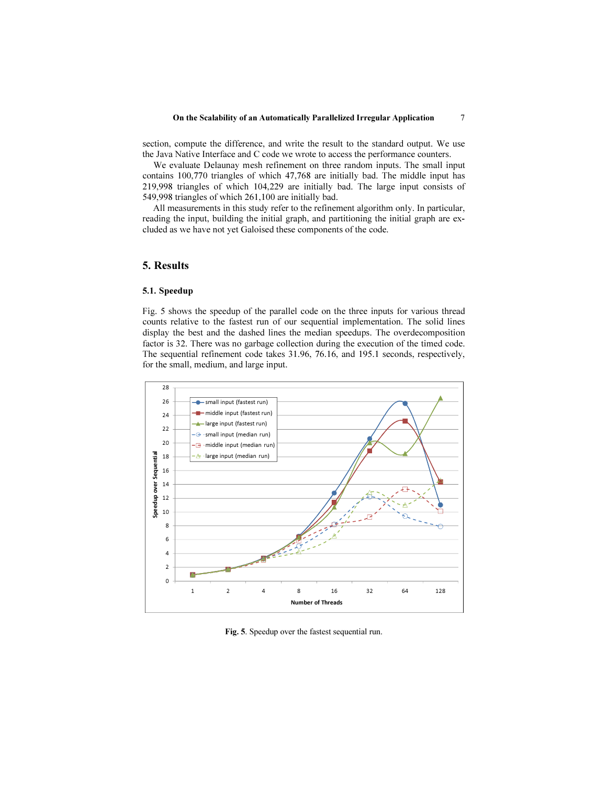#### On the Scalability of an Automatically Parallelized Irregular Application 7

section, compute the difference, and write the result to the standard output. We use the Java Native Interface and C code we wrote to access the performance counters.

We evaluate Delaunay mesh refinement on three random inputs. The small input contains 100,770 triangles of which 47,768 are initially bad. The middle input has 219,998 triangles of which 104,229 are initially bad. The large input consists of 549,998 triangles of which 261,100 are initially bad.

All measurements in this study refer to the refinement algorithm only. In particular, reading the input, building the initial graph, and partitioning the initial graph are excluded as we have not yet Galoised these components of the code.

# 5. Results

### 5.1. Speedup

Fig. 5 shows the speedup of the parallel code on the three inputs for various thread counts relative to the fastest run of our sequential implementation. The solid lines display the best and the dashed lines the median speedups. The overdecomposition factor is 32. There was no garbage collection during the execution of the timed code. The sequential refinement code takes 31.96, 76.16, and 195.1 seconds, respectively, for the small, medium, and large input.



Fig. 5. Speedup over the fastest sequential run.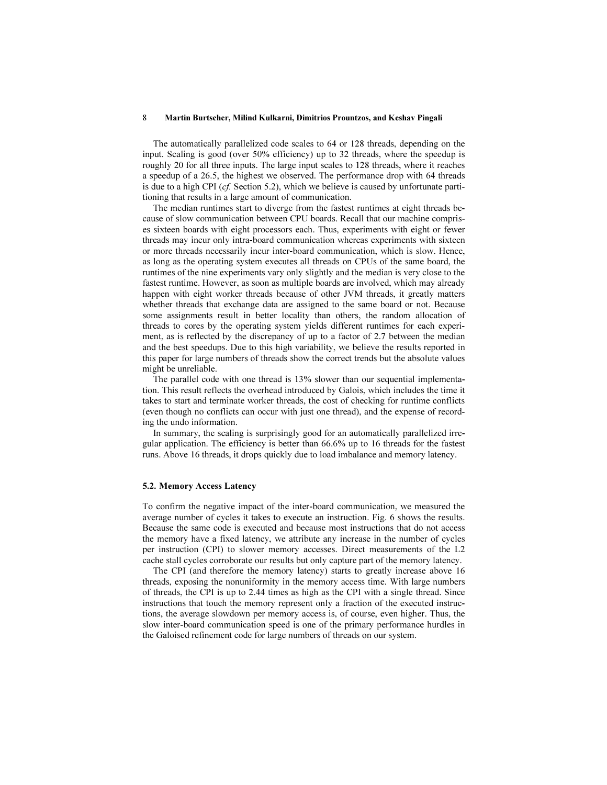The automatically parallelized code scales to 64 or 128 threads, depending on the input. Scaling is good (over 50% efficiency) up to 32 threads, where the speedup is roughly 20 for all three inputs. The large input scales to 128 threads, where it reaches a speedup of a 26.5, the highest we observed. The performance drop with 64 threads is due to a high CPI ( $cf.$  Section 5.2), which we believe is caused by unfortunate partitioning that results in a large amount of communication.

The median runtimes start to diverge from the fastest runtimes at eight threads because of slow communication between CPU boards. Recall that our machine comprises sixteen boards with eight processors each. Thus, experiments with eight or fewer threads may incur only intra-board communication whereas experiments with sixteen or more threads necessarily incur inter-board communication, which is slow. Hence, as long as the operating system executes all threads on CPUs of the same board, the runtimes of the nine experiments vary only slightly and the median is very close to the fastest runtime. However, as soon as multiple boards are involved, which may already happen with eight worker threads because of other JVM threads, it greatly matters whether threads that exchange data are assigned to the same board or not. Because some assignments result in better locality than others, the random allocation of threads to cores by the operating system yields different runtimes for each experiment, as is reflected by the discrepancy of up to a factor of 2.7 between the median and the best speedups. Due to this high variability, we believe the results reported in this paper for large numbers of threads show the correct trends but the absolute values might be unreliable.

The parallel code with one thread is 13% slower than our sequential implementation. This result reflects the overhead introduced by Galois, which includes the time it takes to start and terminate worker threads, the cost of checking for runtime conflicts (even though no conflicts can occur with just one thread), and the expense of recording the undo information.

In summary, the scaling is surprisingly good for an automatically parallelized irregular application. The efficiency is better than 66.6% up to 16 threads for the fastest runs. Above 16 threads, it drops quickly due to load imbalance and memory latency.

#### 5.2. Memory Access Latency

To confirm the negative impact of the inter-board communication, we measured the average number of cycles it takes to execute an instruction. Fig. 6 shows the results. Because the same code is executed and because most instructions that do not access the memory have a fixed latency, we attribute any increase in the number of cycles per instruction (CPI) to slower memory accesses. Direct measurements of the L2 cache stall cycles corroborate our results but only capture part of the memory latency.

The CPI (and therefore the memory latency) starts to greatly increase above 16 threads, exposing the nonuniformity in the memory access time. With large numbers of threads, the CPI is up to 2.44 times as high as the CPI with a single thread. Since instructions that touch the memory represent only a fraction of the executed instructions, the average slowdown per memory access is, of course, even higher. Thus, the slow inter-board communication speed is one of the primary performance hurdles in the Galoised refinement code for large numbers of threads on our system.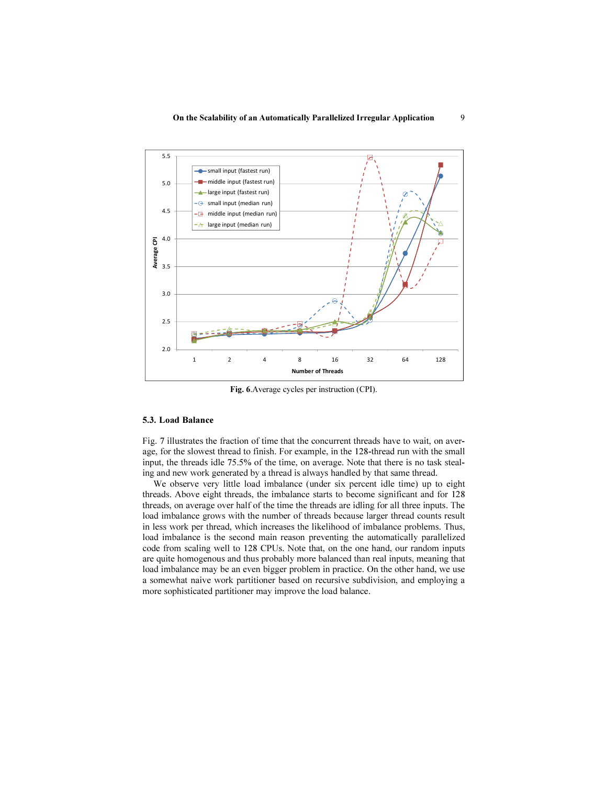

Fig. 6.Average cycles per instruction (CPI).

## 5.3. Load Balance

Fig. 7 illustrates the fraction of time that the concurrent threads have to wait, on average, for the slowest thread to finish. For example, in the 128-thread run with the small input, the threads idle 75.5% of the time, on average. Note that there is no task stealing and new work generated by a thread is always handled by that same thread.

We observe very little load imbalance (under six percent idle time) up to eight threads. Above eight threads, the imbalance starts to become significant and for 128 threads, on average over half of the time the threads are idling for all three inputs. The load imbalance grows with the number of threads because larger thread counts result in less work per thread, which increases the likelihood of imbalance problems. Thus, load imbalance is the second main reason preventing the automatically parallelized code from scaling well to 128 CPUs. Note that, on the one hand, our random inputs are quite homogenous and thus probably more balanced than real inputs, meaning that load imbalance may be an even bigger problem in practice. On the other hand, we use a somewhat naive work partitioner based on recursive subdivision, and employing a more sophisticated partitioner may improve the load balance.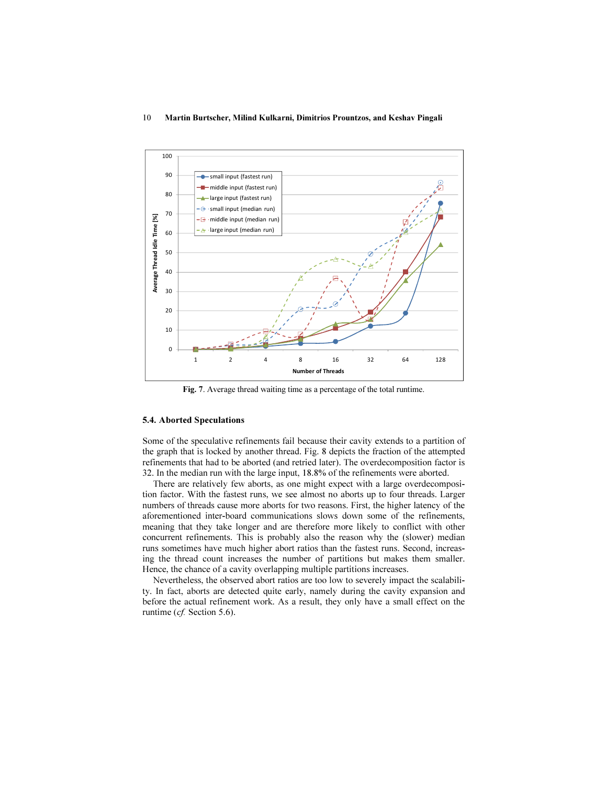

Fig. 7. Average thread waiting time as a percentage of the total runtime.

## 5.4. Aborted Speculations

Some of the speculative refinements fail because their cavity extends to a partition of the graph that is locked by another thread. Fig. 8 depicts the fraction of the attempted refinements that had to be aborted (and retried later). The overdecomposition factor is 32. In the median run with the large input, 18.8% of the refinements were aborted.

There are relatively few aborts, as one might expect with a large overdecomposition factor. With the fastest runs, we see almost no aborts up to four threads. Larger numbers of threads cause more aborts for two reasons. First, the higher latency of the aforementioned inter-board communications slows down some of the refinements, meaning that they take longer and are therefore more likely to conflict with other concurrent refinements. This is probably also the reason why the (slower) median runs sometimes have much higher abort ratios than the fastest runs. Second, increasing the thread count increases the number of partitions but makes them smaller. Hence, the chance of a cavity overlapping multiple partitions increases.

Nevertheless, the observed abort ratios are too low to severely impact the scalability. In fact, aborts are detected quite early, namely during the cavity expansion and before the actual refinement work. As a result, they only have a small effect on the runtime (cf. Section 5.6).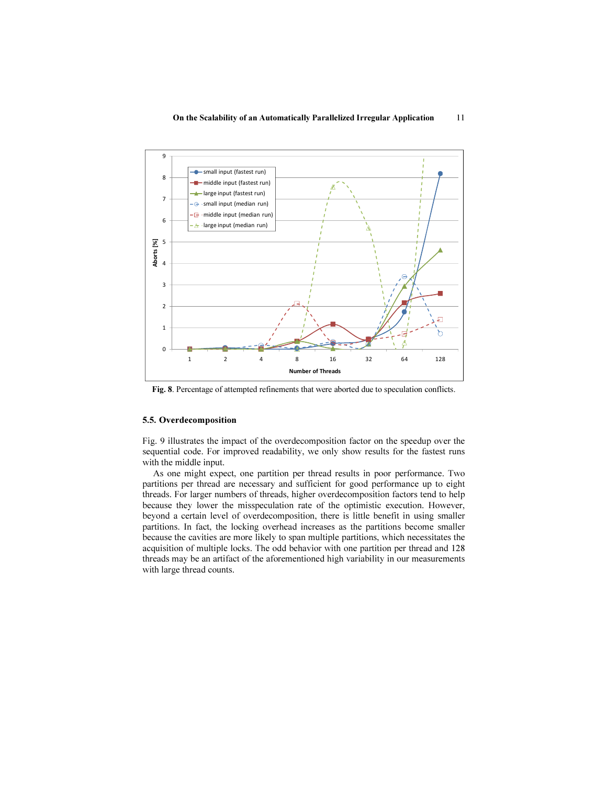

Fig. 8. Percentage of attempted refinements that were aborted due to speculation conflicts.

### 5.5. Overdecomposition

Fig. 9 illustrates the impact of the overdecomposition factor on the speedup over the sequential code. For improved readability, we only show results for the fastest runs with the middle input.

As one might expect, one partition per thread results in poor performance. Two partitions per thread are necessary and sufficient for good performance up to eight threads. For larger numbers of threads, higher overdecomposition factors tend to help because they lower the misspeculation rate of the optimistic execution. However, beyond a certain level of overdecomposition, there is little benefit in using smaller partitions. In fact, the locking overhead increases as the partitions become smaller because the cavities are more likely to span multiple partitions, which necessitates the acquisition of multiple locks. The odd behavior with one partition per thread and 128 threads may be an artifact of the aforementioned high variability in our measurements with large thread counts.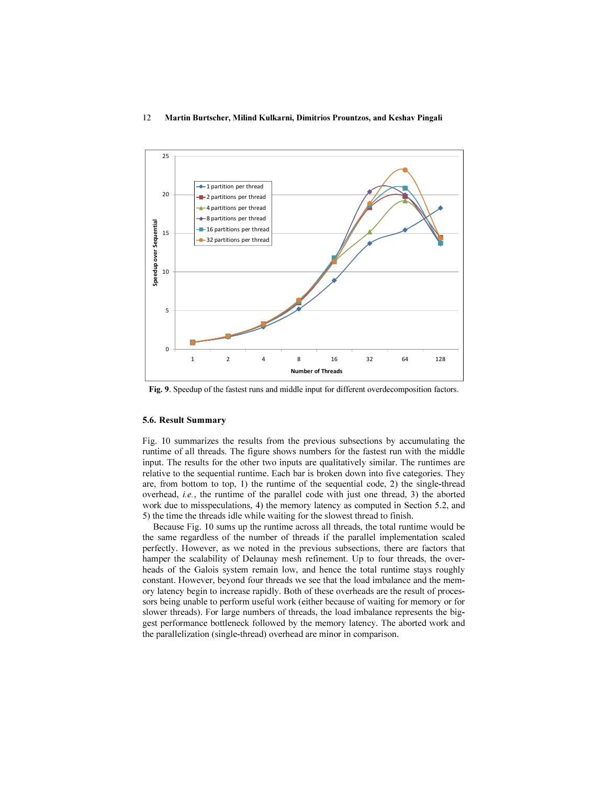

Fig. 9. Speedup of the fastest runs and middle input for different overdecomposition factors.

## 5.6. Result Summary

Fig. 10 summarizes the results from the previous subsections by accumulating the runtime of all threads. The figure shows numbers for the fastest run with the middle input. The results for the other two inputs are qualitatively similar. The runtimes are relative to the sequential runtime. Each bar is broken down into five categories. They are, from bottom to top, 1) the runtime of the sequential code, 2) the single-thread overhead, i.e., the runtime of the parallel code with just one thread, 3) the aborted work due to misspeculations, 4) the memory latency as computed in Section 5.2, and 5) the time the threads idle while waiting for the slowest thread to finish.

Because Fig. 10 sums up the runtime across all threads, the total runtime would be the same regardless of the number of threads if the parallel implementation scaled perfectly. However, as we noted in the previous subsections, there are factors that hamper the scalability of Delaunay mesh refinement. Up to four threads, the overheads of the Galois system remain low, and hence the total runtime stays roughly constant. However, beyond four threads we see that the load imbalance and the memory latency begin to increase rapidly. Both of these overheads are the result of processors being unable to perform useful work (either because of waiting for memory or for slower threads). For large numbers of threads, the load imbalance represents the biggest performance bottleneck followed by the memory latency. The aborted work and the parallelization (single-thread) overhead are minor in comparison.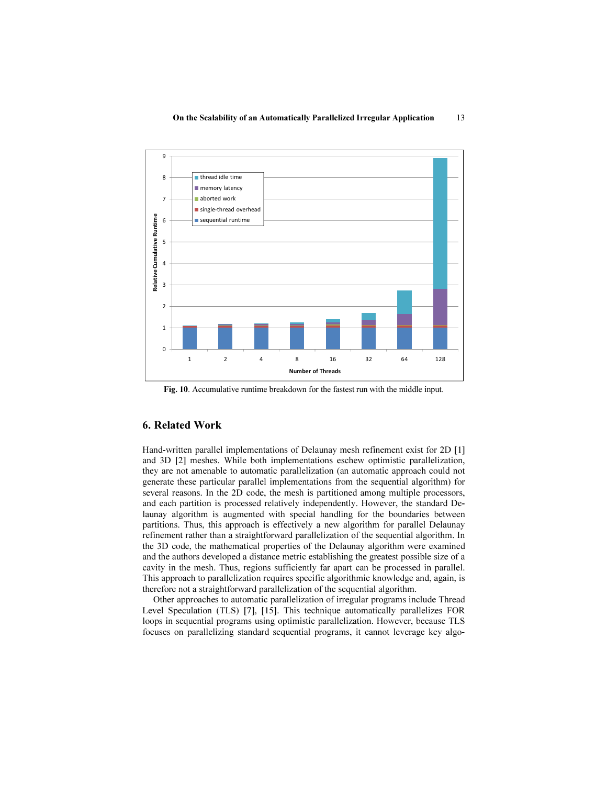

Fig. 10. Accumulative runtime breakdown for the fastest run with the middle input.

# 6. Related Work

Hand-written parallel implementations of Delaunay mesh refinement exist for 2D [1] and 3D [2] meshes. While both implementations eschew optimistic parallelization, they are not amenable to automatic parallelization (an automatic approach could not generate these particular parallel implementations from the sequential algorithm) for several reasons. In the 2D code, the mesh is partitioned among multiple processors, and each partition is processed relatively independently. However, the standard Delaunay algorithm is augmented with special handling for the boundaries between partitions. Thus, this approach is effectively a new algorithm for parallel Delaunay refinement rather than a straightforward parallelization of the sequential algorithm. In the 3D code, the mathematical properties of the Delaunay algorithm were examined and the authors developed a distance metric establishing the greatest possible size of a cavity in the mesh. Thus, regions sufficiently far apart can be processed in parallel. This approach to parallelization requires specific algorithmic knowledge and, again, is therefore not a straightforward parallelization of the sequential algorithm.

Other approaches to automatic parallelization of irregular programs include Thread Level Speculation (TLS) [7], [15]. This technique automatically parallelizes FOR loops in sequential programs using optimistic parallelization. However, because TLS focuses on parallelizing standard sequential programs, it cannot leverage key algo-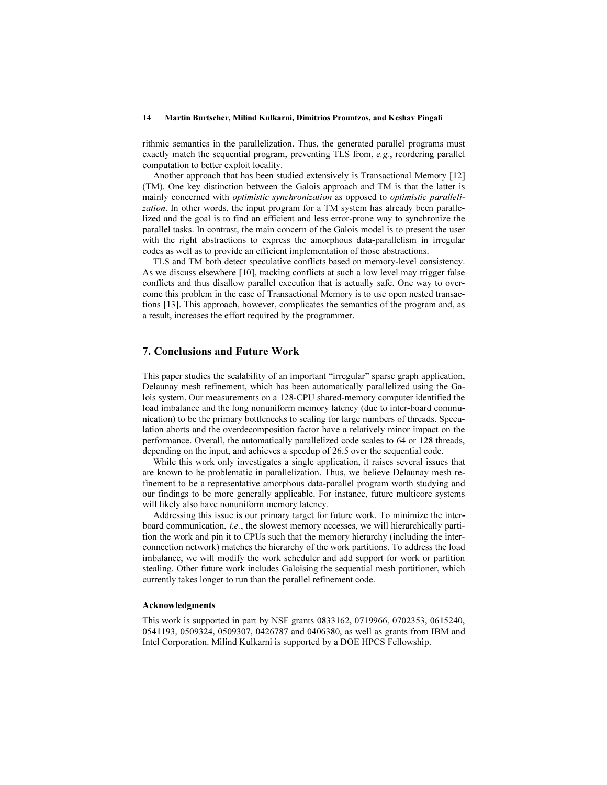rithmic semantics in the parallelization. Thus, the generated parallel programs must exactly match the sequential program, preventing TLS from, e.g., reordering parallel computation to better exploit locality.

Another approach that has been studied extensively is Transactional Memory [12] (TM). One key distinction between the Galois approach and TM is that the latter is mainly concerned with optimistic synchronization as opposed to optimistic parallelization. In other words, the input program for a TM system has already been parallelized and the goal is to find an efficient and less error-prone way to synchronize the parallel tasks. In contrast, the main concern of the Galois model is to present the user with the right abstractions to express the amorphous data-parallelism in irregular codes as well as to provide an efficient implementation of those abstractions.

TLS and TM both detect speculative conflicts based on memory-level consistency. As we discuss elsewhere [10], tracking conflicts at such a low level may trigger false conflicts and thus disallow parallel execution that is actually safe. One way to overcome this problem in the case of Transactional Memory is to use open nested transactions [13]. This approach, however, complicates the semantics of the program and, as a result, increases the effort required by the programmer.

# 7. Conclusions and Future Work

This paper studies the scalability of an important "irregular" sparse graph application, Delaunay mesh refinement, which has been automatically parallelized using the Galois system. Our measurements on a 128-CPU shared-memory computer identified the load imbalance and the long nonuniform memory latency (due to inter-board communication) to be the primary bottlenecks to scaling for large numbers of threads. Speculation aborts and the overdecomposition factor have a relatively minor impact on the performance. Overall, the automatically parallelized code scales to 64 or 128 threads, depending on the input, and achieves a speedup of 26.5 over the sequential code.

While this work only investigates a single application, it raises several issues that are known to be problematic in parallelization. Thus, we believe Delaunay mesh refinement to be a representative amorphous data-parallel program worth studying and our findings to be more generally applicable. For instance, future multicore systems will likely also have nonuniform memory latency.

Addressing this issue is our primary target for future work. To minimize the interboard communication, i.e., the slowest memory accesses, we will hierarchically partition the work and pin it to CPUs such that the memory hierarchy (including the interconnection network) matches the hierarchy of the work partitions. To address the load imbalance, we will modify the work scheduler and add support for work or partition stealing. Other future work includes Galoising the sequential mesh partitioner, which currently takes longer to run than the parallel refinement code.

#### Acknowledgments

This work is supported in part by NSF grants 0833162, 0719966, 0702353, 0615240, 0541193, 0509324, 0509307, 0426787 and 0406380, as well as grants from IBM and Intel Corporation. Milind Kulkarni is supported by a DOE HPCS Fellowship.